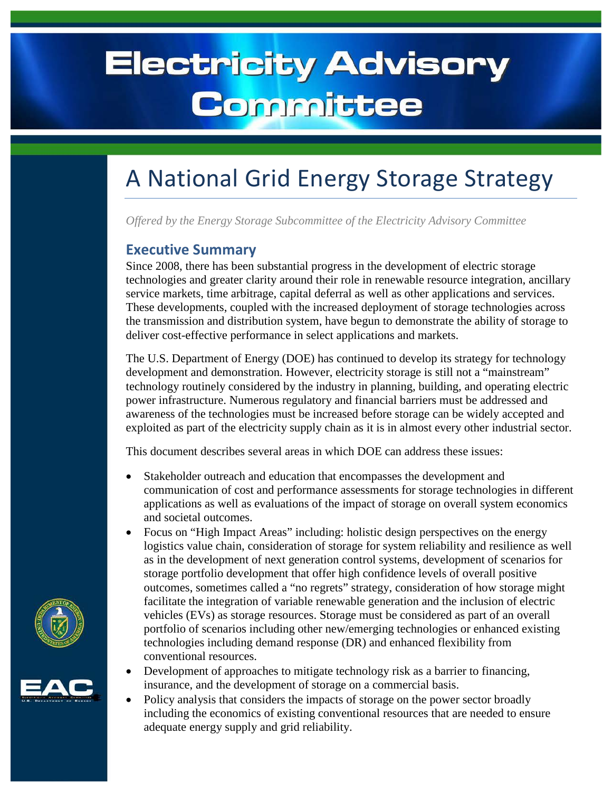# **Electricity Advisory** Committee

## A National Grid Energy Storage Strategy

*Offered by the Energy Storage Subcommittee of the Electricity Advisory Committee*

### **Executive Summary**

Since 2008, there has been substantial progress in the development of electric storage technologies and greater clarity around their role in renewable resource integration, ancillary service markets, time arbitrage, capital deferral as well as other applications and services. These developments, coupled with the increased deployment of storage technologies across the transmission and distribution system, have begun to demonstrate the ability of storage to deliver cost-effective performance in select applications and markets.

The U.S. Department of Energy (DOE) has continued to develop its strategy for technology development and demonstration. However, electricity storage is still not a "mainstream" technology routinely considered by the industry in planning, building, and operating electric power infrastructure. Numerous regulatory and financial barriers must be addressed and awareness of the technologies must be increased before storage can be widely accepted and exploited as part of the electricity supply chain as it is in almost every other industrial sector.

This document describes several areas in which DOE can address these issues:

- Stakeholder outreach and education that encompasses the development and communication of cost and performance assessments for storage technologies in different applications as well as evaluations of the impact of storage on overall system economics and societal outcomes.
- Focus on "High Impact Areas" including: holistic design perspectives on the energy logistics value chain, consideration of storage for system reliability and resilience as well as in the development of next generation control systems, development of scenarios for storage portfolio development that offer high confidence levels of overall positive outcomes, sometimes called a "no regrets" strategy, consideration of how storage might facilitate the integration of variable renewable generation and the inclusion of electric vehicles (EVs) as storage resources. Storage must be considered as part of an overall portfolio of scenarios including other new/emerging technologies or enhanced existing technologies including demand response (DR) and enhanced flexibility from conventional resources.
- Development of approaches to mitigate technology risk as a barrier to financing, insurance, and the development of storage on a commercial basis.
- Policy analysis that considers the impacts of storage on the power sector broadly including the economics of existing conventional resources that are needed to ensure adequate energy supply and grid reliability.



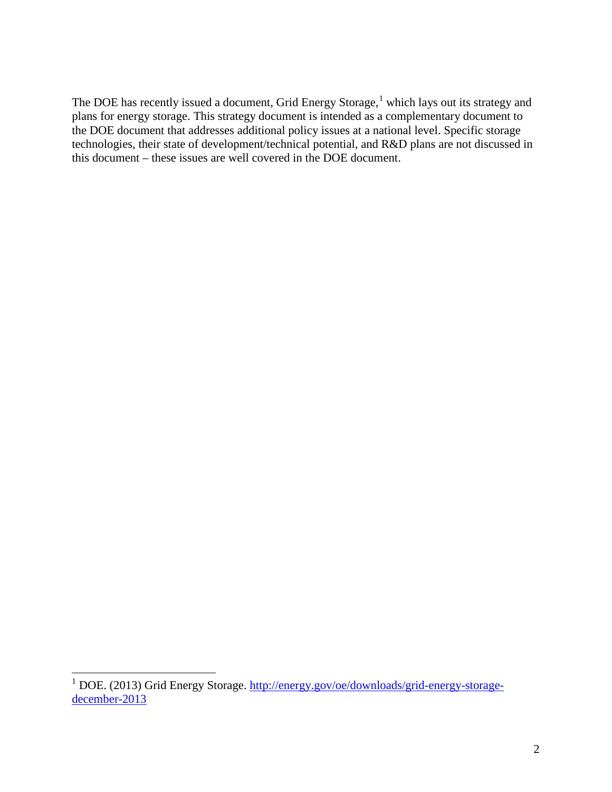The DOE has recently issued a document, Grid Energy Storage,<sup>[1](#page-1-0)</sup> which lays out its strategy and plans for energy storage. This strategy document is intended as a complementary document to the DOE document that addresses additional policy issues at a national level. Specific storage technologies, their state of development/technical potential, and R&D plans are not discussed in this document – these issues are well covered in the DOE document.

<span id="page-1-0"></span> <sup>1</sup> DOE. (2013) Grid Energy Storage. [http://energy.gov/oe/downloads/grid-energy-storage](http://energy.gov/oe/downloads/grid-energy-storage-december-2013)[december-2013](http://energy.gov/oe/downloads/grid-energy-storage-december-2013)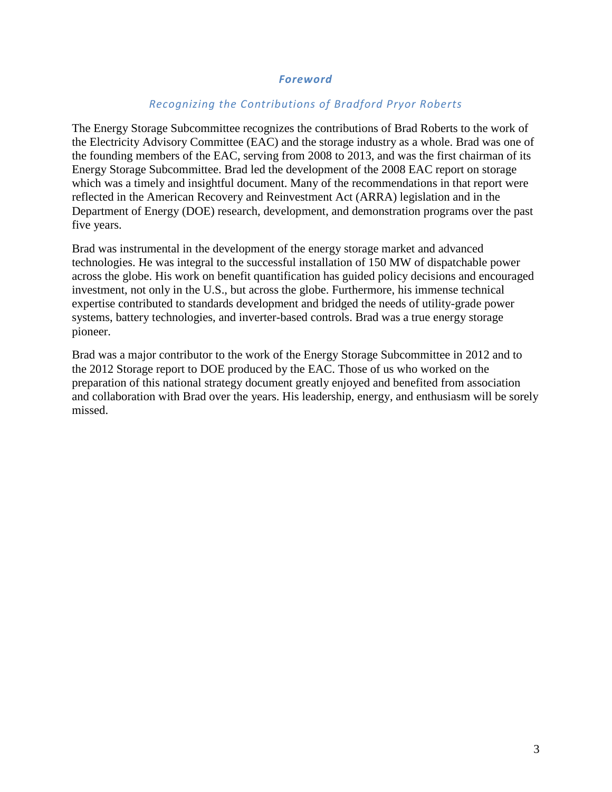#### *Foreword*

#### *Recognizing the Contributions of Bradford Pryor Roberts*

The Energy Storage Subcommittee recognizes the contributions of Brad Roberts to the work of the Electricity Advisory Committee (EAC) and the storage industry as a whole. Brad was one of the founding members of the EAC, serving from 2008 to 2013, and was the first chairman of its Energy Storage Subcommittee. Brad led the development of the 2008 EAC report on storage which was a timely and insightful document. Many of the recommendations in that report were reflected in the American Recovery and Reinvestment Act (ARRA) legislation and in the Department of Energy (DOE) research, development, and demonstration programs over the past five years.

Brad was instrumental in the development of the energy storage market and advanced technologies. He was integral to the successful installation of 150 MW of dispatchable power across the globe. His work on benefit quantification has guided policy decisions and encouraged investment, not only in the U.S., but across the globe. Furthermore, his immense technical expertise contributed to standards development and bridged the needs of utility-grade power systems, battery technologies, and inverter-based controls. Brad was a true energy storage pioneer.

Brad was a major contributor to the work of the Energy Storage Subcommittee in 2012 and to the 2012 Storage report to DOE produced by the EAC. Those of us who worked on the preparation of this national strategy document greatly enjoyed and benefited from association and collaboration with Brad over the years. His leadership, energy, and enthusiasm will be sorely missed.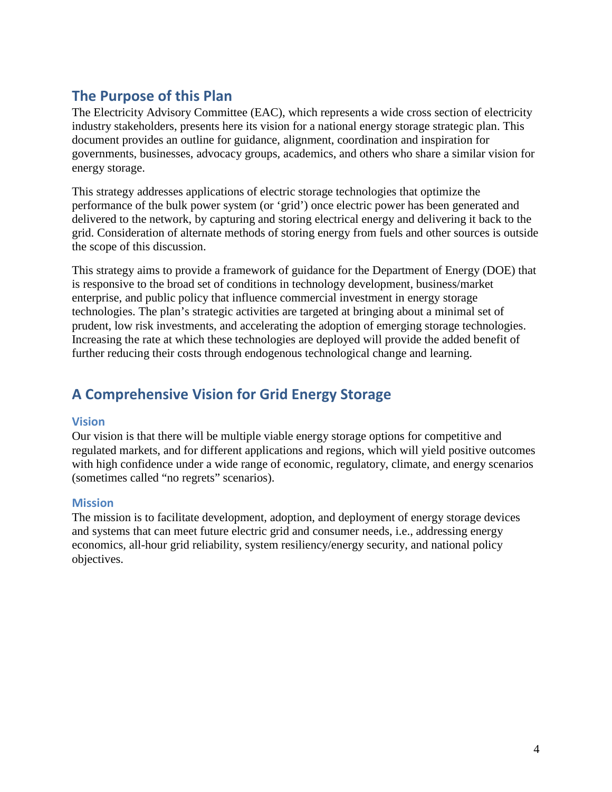## **The Purpose of this Plan**

The Electricity Advisory Committee (EAC), which represents a wide cross section of electricity industry stakeholders, presents here its vision for a national energy storage strategic plan. This document provides an outline for guidance, alignment, coordination and inspiration for governments, businesses, advocacy groups, academics, and others who share a similar vision for energy storage.

This strategy addresses applications of electric storage technologies that optimize the performance of the bulk power system (or 'grid') once electric power has been generated and delivered to the network, by capturing and storing electrical energy and delivering it back to the grid. Consideration of alternate methods of storing energy from fuels and other sources is outside the scope of this discussion.

This strategy aims to provide a framework of guidance for the Department of Energy (DOE) that is responsive to the broad set of conditions in technology development, business/market enterprise, and public policy that influence commercial investment in energy storage technologies. The plan's strategic activities are targeted at bringing about a minimal set of prudent, low risk investments, and accelerating the adoption of emerging storage technologies. Increasing the rate at which these technologies are deployed will provide the added benefit of further reducing their costs through endogenous technological change and learning.

## **A Comprehensive Vision for Grid Energy Storage**

#### **Vision**

Our vision is that there will be multiple viable energy storage options for competitive and regulated markets, and for different applications and regions, which will yield positive outcomes with high confidence under a wide range of economic, regulatory, climate, and energy scenarios (sometimes called "no regrets" scenarios).

#### **Mission**

The mission is to facilitate development, adoption, and deployment of energy storage devices and systems that can meet future electric grid and consumer needs, i.e., addressing energy economics, all-hour grid reliability, system resiliency/energy security, and national policy objectives.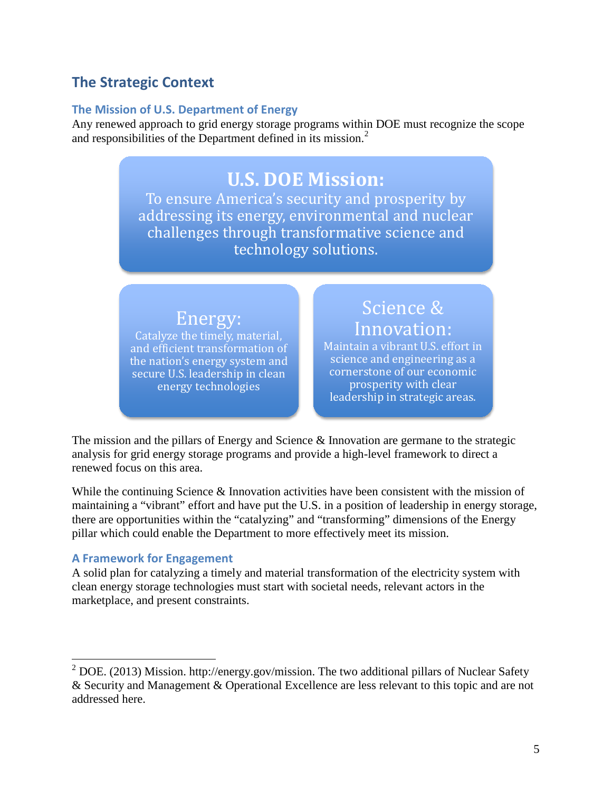## **The Strategic Context**

#### **The Mission of U.S. Department of Energy**

Any renewed approach to grid energy storage programs within DOE must recognize the scope and responsibilities of the Department defined in its mission. [2](#page-4-0)

## **U.S. DOE Mission:**

To ensure America's security and prosperity by addressing its energy, environmental and nuclear challenges through transformative science and technology solutions.

## Energy:

Catalyze the timely, material, and efficient transformation of the nation's energy system and secure U.S. leadership in clean energy technologies

Innovation: Maintain a vibrant U.S. effort in science and engineering as a cornerstone of our economic prosperity with clear leadership in strategic areas.

Science &

The mission and the pillars of Energy and Science & Innovation are germane to the strategic analysis for grid energy storage programs and provide a high-level framework to direct a renewed focus on this area.

While the continuing Science & Innovation activities have been consistent with the mission of maintaining a "vibrant" effort and have put the U.S. in a position of leadership in energy storage, there are opportunities within the "catalyzing" and "transforming" dimensions of the Energy pillar which could enable the Department to more effectively meet its mission.

#### **A Framework for Engagement**

A solid plan for catalyzing a timely and material transformation of the electricity system with clean energy storage technologies must start with societal needs, relevant actors in the marketplace, and present constraints.

<span id="page-4-0"></span> $2$  DOE. (2013) Mission. http://energy.gov/mission. The two additional pillars of Nuclear Safety & Security and Management & Operational Excellence are less relevant to this topic and are not addressed here.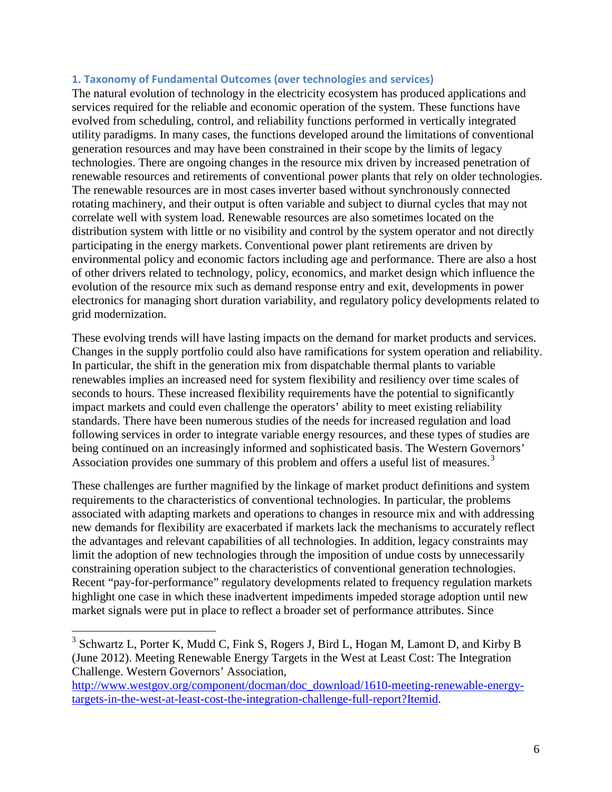#### **1. Taxonomy of Fundamental Outcomes (over technologies and services)**

The natural evolution of technology in the electricity ecosystem has produced applications and services required for the reliable and economic operation of the system. These functions have evolved from scheduling, control, and reliability functions performed in vertically integrated utility paradigms. In many cases, the functions developed around the limitations of conventional generation resources and may have been constrained in their scope by the limits of legacy technologies. There are ongoing changes in the resource mix driven by increased penetration of renewable resources and retirements of conventional power plants that rely on older technologies. The renewable resources are in most cases inverter based without synchronously connected rotating machinery, and their output is often variable and subject to diurnal cycles that may not correlate well with system load. Renewable resources are also sometimes located on the distribution system with little or no visibility and control by the system operator and not directly participating in the energy markets. Conventional power plant retirements are driven by environmental policy and economic factors including age and performance. There are also a host of other drivers related to technology, policy, economics, and market design which influence the evolution of the resource mix such as demand response entry and exit, developments in power electronics for managing short duration variability, and regulatory policy developments related to grid modernization.

These evolving trends will have lasting impacts on the demand for market products and services. Changes in the supply portfolio could also have ramifications for system operation and reliability. In particular, the shift in the generation mix from dispatchable thermal plants to variable renewables implies an increased need for system flexibility and resiliency over time scales of seconds to hours. These increased flexibility requirements have the potential to significantly impact markets and could even challenge the operators' ability to meet existing reliability standards. There have been numerous studies of the needs for increased regulation and load following services in order to integrate variable energy resources, and these types of studies are being continued on an increasingly informed and sophisticated basis. The Western Governors' Association provides one summary of this problem and offers a useful list of measures.<sup>[3](#page-5-0)</sup>

These challenges are further magnified by the linkage of market product definitions and system requirements to the characteristics of conventional technologies. In particular, the problems associated with adapting markets and operations to changes in resource mix and with addressing new demands for flexibility are exacerbated if markets lack the mechanisms to accurately reflect the advantages and relevant capabilities of all technologies. In addition, legacy constraints may limit the adoption of new technologies through the imposition of undue costs by unnecessarily constraining operation subject to the characteristics of conventional generation technologies. Recent "pay-for-performance" regulatory developments related to frequency regulation markets highlight one case in which these inadvertent impediments impeded storage adoption until new market signals were put in place to reflect a broader set of performance attributes. Since

<span id="page-5-0"></span> $3$  Schwartz L, Porter K, Mudd C, Fink S, Rogers J, Bird L, Hogan M, Lamont D, and Kirby B (June 2012). Meeting Renewable Energy Targets in the West at Least Cost: The Integration Challenge. Western Governors' Association,

[http://www.westgov.org/component/docman/doc\\_download/1610-meeting-renewable-energy](http://www.westgov.org/component/docman/doc_download/1610-meeting-renewable-energy-targets-in-the-west-at-least-cost-the-integration-challenge-full-report?Itemid)[targets-in-the-west-at-least-cost-the-integration-challenge-full-report?Itemid.](http://www.westgov.org/component/docman/doc_download/1610-meeting-renewable-energy-targets-in-the-west-at-least-cost-the-integration-challenge-full-report?Itemid)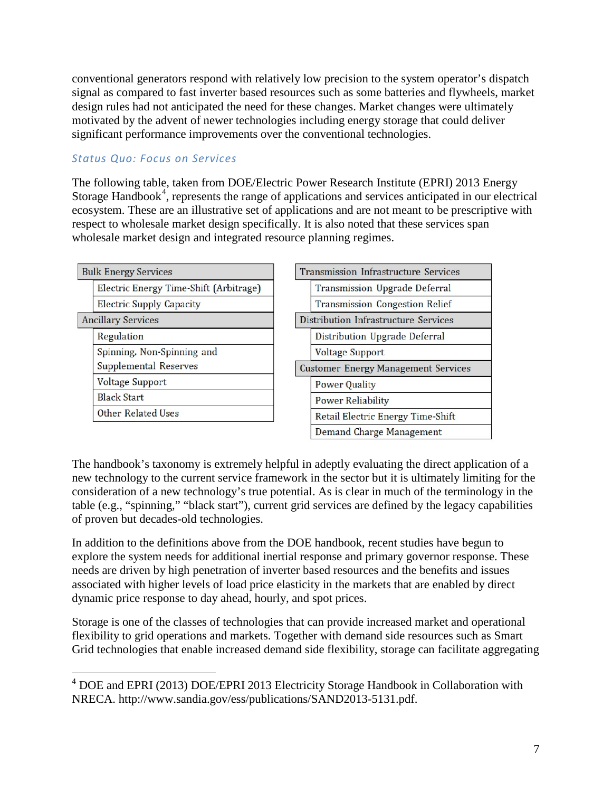conventional generators respond with relatively low precision to the system operator's dispatch signal as compared to fast inverter based resources such as some batteries and flywheels, market design rules had not anticipated the need for these changes. Market changes were ultimately motivated by the advent of newer technologies including energy storage that could deliver significant performance improvements over the conventional technologies.

#### *Status Quo: Focus on Services*

The following table, taken from DOE/Electric Power Research Institute (EPRI) 2013 Energy Storage Handbook<sup>[4](#page-6-0)</sup>, represents the range of applications and services anticipated in our electrical ecosystem. These are an illustrative set of applications and are not meant to be prescriptive with respect to wholesale market design specifically. It is also noted that these services span wholesale market design and integrated resource planning regimes.

| <b>Bulk Energy Services</b>            | Transmission Infrastructure Services       |
|----------------------------------------|--------------------------------------------|
| Electric Energy Time-Shift (Arbitrage) | Transmission Upgrade Deferral              |
| <b>Electric Supply Capacity</b>        | <b>Transmission Congestion Relief</b>      |
| <b>Ancillary Services</b>              | Distribution Infrastructure Services       |
| Regulation                             | Distribution Upgrade Deferral              |
| Spinning, Non-Spinning and             | <b>Voltage Support</b>                     |
| Supplemental Reserves                  | <b>Customer Energy Management Services</b> |
| <b>Voltage Support</b>                 | <b>Power Quality</b>                       |
| <b>Black Start</b>                     | <b>Power Reliability</b>                   |
| Other Related Uses                     | Retail Electric Energy Time-Shift          |
|                                        | Demand Charge Management                   |

The handbook's taxonomy is extremely helpful in adeptly evaluating the direct application of a new technology to the current service framework in the sector but it is ultimately limiting for the consideration of a new technology's true potential. As is clear in much of the terminology in the table (e.g., "spinning," "black start"), current grid services are defined by the legacy capabilities of proven but decades-old technologies.

In addition to the definitions above from the DOE handbook, recent studies have begun to explore the system needs for additional inertial response and primary governor response. These needs are driven by high penetration of inverter based resources and the benefits and issues associated with higher levels of load price elasticity in the markets that are enabled by direct dynamic price response to day ahead, hourly, and spot prices.

Storage is one of the classes of technologies that can provide increased market and operational flexibility to grid operations and markets. Together with demand side resources such as Smart Grid technologies that enable increased demand side flexibility, storage can facilitate aggregating

<span id="page-6-0"></span> <sup>4</sup> DOE and EPRI (2013) DOE/EPRI 2013 Electricity Storage Handbook in Collaboration with NRECA. http://www.sandia.gov/ess/publications/SAND2013-5131.pdf.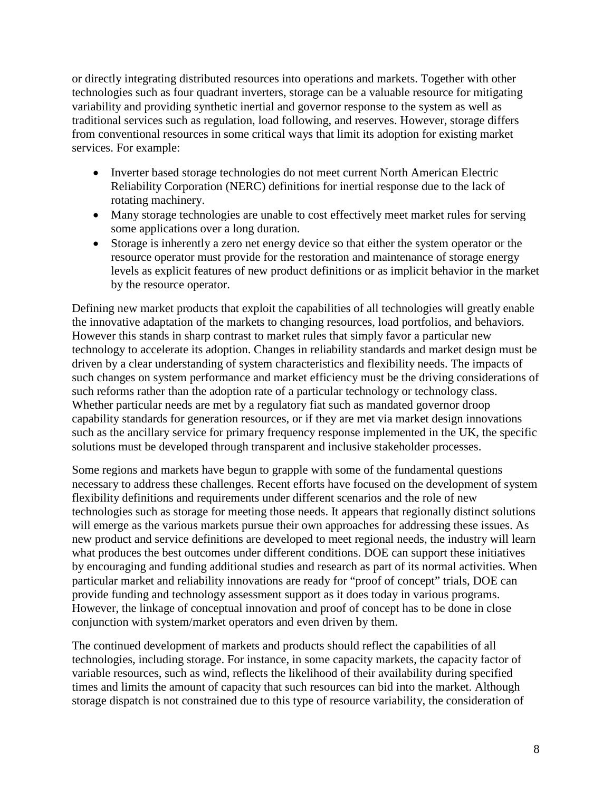or directly integrating distributed resources into operations and markets. Together with other technologies such as four quadrant inverters, storage can be a valuable resource for mitigating variability and providing synthetic inertial and governor response to the system as well as traditional services such as regulation, load following, and reserves. However, storage differs from conventional resources in some critical ways that limit its adoption for existing market services. For example:

- Inverter based storage technologies do not meet current North American Electric Reliability Corporation (NERC) definitions for inertial response due to the lack of rotating machinery.
- Many storage technologies are unable to cost effectively meet market rules for serving some applications over a long duration.
- Storage is inherently a zero net energy device so that either the system operator or the resource operator must provide for the restoration and maintenance of storage energy levels as explicit features of new product definitions or as implicit behavior in the market by the resource operator.

Defining new market products that exploit the capabilities of all technologies will greatly enable the innovative adaptation of the markets to changing resources, load portfolios, and behaviors. However this stands in sharp contrast to market rules that simply favor a particular new technology to accelerate its adoption. Changes in reliability standards and market design must be driven by a clear understanding of system characteristics and flexibility needs. The impacts of such changes on system performance and market efficiency must be the driving considerations of such reforms rather than the adoption rate of a particular technology or technology class. Whether particular needs are met by a regulatory fiat such as mandated governor droop capability standards for generation resources, or if they are met via market design innovations such as the ancillary service for primary frequency response implemented in the UK, the specific solutions must be developed through transparent and inclusive stakeholder processes.

Some regions and markets have begun to grapple with some of the fundamental questions necessary to address these challenges. Recent efforts have focused on the development of system flexibility definitions and requirements under different scenarios and the role of new technologies such as storage for meeting those needs. It appears that regionally distinct solutions will emerge as the various markets pursue their own approaches for addressing these issues. As new product and service definitions are developed to meet regional needs, the industry will learn what produces the best outcomes under different conditions. DOE can support these initiatives by encouraging and funding additional studies and research as part of its normal activities. When particular market and reliability innovations are ready for "proof of concept" trials, DOE can provide funding and technology assessment support as it does today in various programs. However, the linkage of conceptual innovation and proof of concept has to be done in close conjunction with system/market operators and even driven by them.

The continued development of markets and products should reflect the capabilities of all technologies, including storage. For instance, in some capacity markets, the capacity factor of variable resources, such as wind, reflects the likelihood of their availability during specified times and limits the amount of capacity that such resources can bid into the market. Although storage dispatch is not constrained due to this type of resource variability, the consideration of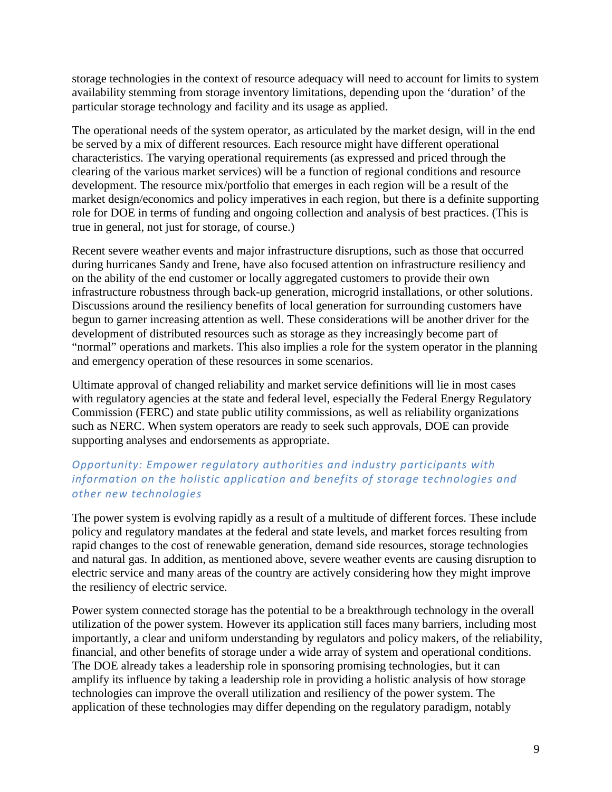storage technologies in the context of resource adequacy will need to account for limits to system availability stemming from storage inventory limitations, depending upon the 'duration' of the particular storage technology and facility and its usage as applied.

The operational needs of the system operator, as articulated by the market design, will in the end be served by a mix of different resources. Each resource might have different operational characteristics. The varying operational requirements (as expressed and priced through the clearing of the various market services) will be a function of regional conditions and resource development. The resource mix/portfolio that emerges in each region will be a result of the market design/economics and policy imperatives in each region, but there is a definite supporting role for DOE in terms of funding and ongoing collection and analysis of best practices. (This is true in general, not just for storage, of course.)

Recent severe weather events and major infrastructure disruptions, such as those that occurred during hurricanes Sandy and Irene, have also focused attention on infrastructure resiliency and on the ability of the end customer or locally aggregated customers to provide their own infrastructure robustness through back-up generation, microgrid installations, or other solutions. Discussions around the resiliency benefits of local generation for surrounding customers have begun to garner increasing attention as well. These considerations will be another driver for the development of distributed resources such as storage as they increasingly become part of "normal" operations and markets. This also implies a role for the system operator in the planning and emergency operation of these resources in some scenarios.

Ultimate approval of changed reliability and market service definitions will lie in most cases with regulatory agencies at the state and federal level, especially the Federal Energy Regulatory Commission (FERC) and state public utility commissions, as well as reliability organizations such as NERC. When system operators are ready to seek such approvals, DOE can provide supporting analyses and endorsements as appropriate.

#### *Opportunity: Empower regulatory authorities and industry participants with information on the holistic application and benefits of storage technologies and other new technologies*

The power system is evolving rapidly as a result of a multitude of different forces. These include policy and regulatory mandates at the federal and state levels, and market forces resulting from rapid changes to the cost of renewable generation, demand side resources, storage technologies and natural gas. In addition, as mentioned above, severe weather events are causing disruption to electric service and many areas of the country are actively considering how they might improve the resiliency of electric service.

Power system connected storage has the potential to be a breakthrough technology in the overall utilization of the power system. However its application still faces many barriers, including most importantly, a clear and uniform understanding by regulators and policy makers, of the reliability, financial, and other benefits of storage under a wide array of system and operational conditions. The DOE already takes a leadership role in sponsoring promising technologies, but it can amplify its influence by taking a leadership role in providing a holistic analysis of how storage technologies can improve the overall utilization and resiliency of the power system. The application of these technologies may differ depending on the regulatory paradigm, notably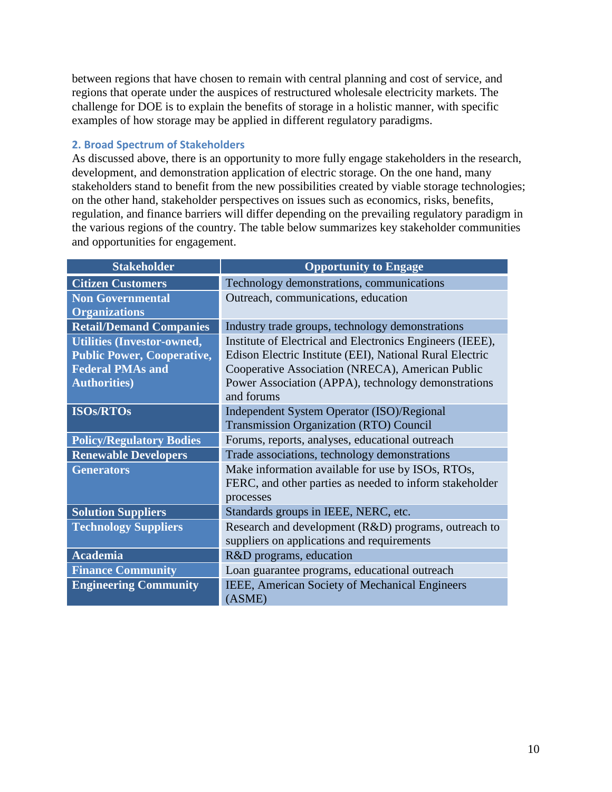between regions that have chosen to remain with central planning and cost of service, and regions that operate under the auspices of restructured wholesale electricity markets. The challenge for DOE is to explain the benefits of storage in a holistic manner, with specific examples of how storage may be applied in different regulatory paradigms.

#### **2. Broad Spectrum of Stakeholders**

As discussed above, there is an opportunity to more fully engage stakeholders in the research, development, and demonstration application of electric storage. On the one hand, many stakeholders stand to benefit from the new possibilities created by viable storage technologies; on the other hand, stakeholder perspectives on issues such as economics, risks, benefits, regulation, and finance barriers will differ depending on the prevailing regulatory paradigm in the various regions of the country. The table below summarizes key stakeholder communities and opportunities for engagement.

| <b>Stakeholder</b>                | <b>Opportunity to Engage</b>                              |
|-----------------------------------|-----------------------------------------------------------|
| <b>Citizen Customers</b>          | Technology demonstrations, communications                 |
| <b>Non Governmental</b>           | Outreach, communications, education                       |
| <b>Organizations</b>              |                                                           |
| <b>Retail/Demand Companies</b>    | Industry trade groups, technology demonstrations          |
| <b>Utilities (Investor-owned,</b> | Institute of Electrical and Electronics Engineers (IEEE), |
| <b>Public Power, Cooperative,</b> | Edison Electric Institute (EEI), National Rural Electric  |
| <b>Federal PMAs and</b>           | Cooperative Association (NRECA), American Public          |
| <b>Authorities</b> )              | Power Association (APPA), technology demonstrations       |
|                                   | and forums                                                |
| <b>ISOs/RTOs</b>                  | Independent System Operator (ISO)/Regional                |
|                                   | <b>Transmission Organization (RTO) Council</b>            |
| <b>Policy/Regulatory Bodies</b>   | Forums, reports, analyses, educational outreach           |
| <b>Renewable Developers</b>       | Trade associations, technology demonstrations             |
| <b>Generators</b>                 | Make information available for use by ISOs, RTOs,         |
|                                   | FERC, and other parties as needed to inform stakeholder   |
|                                   | processes                                                 |
| <b>Solution Suppliers</b>         | Standards groups in IEEE, NERC, etc.                      |
| <b>Technology Suppliers</b>       | Research and development (R&D) programs, outreach to      |
|                                   | suppliers on applications and requirements                |
| <b>Academia</b>                   | R&D programs, education                                   |
| <b>Finance Community</b>          | Loan guarantee programs, educational outreach             |
| <b>Engineering Community</b>      | IEEE, American Society of Mechanical Engineers            |
|                                   | (ASME)                                                    |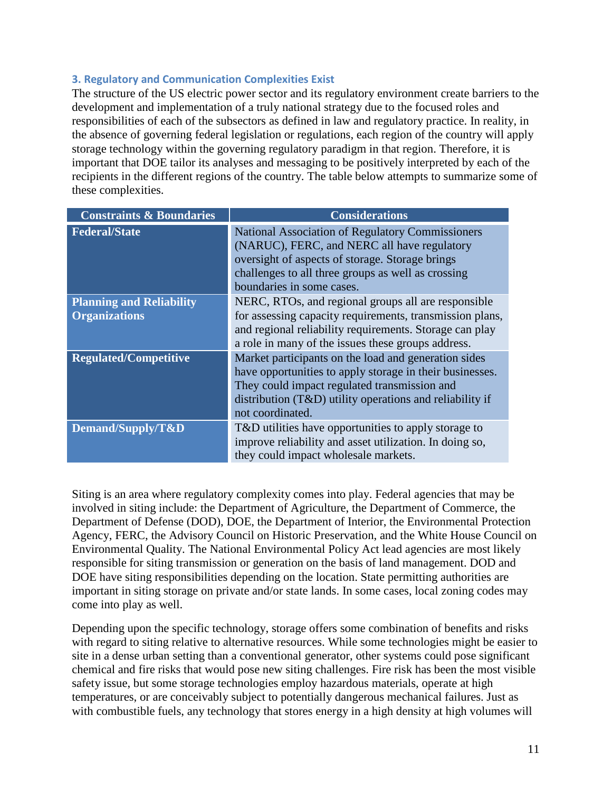#### **3. Regulatory and Communication Complexities Exist**

The structure of the US electric power sector and its regulatory environment create barriers to the development and implementation of a truly national strategy due to the focused roles and responsibilities of each of the subsectors as defined in law and regulatory practice. In reality, in the absence of governing federal legislation or regulations, each region of the country will apply storage technology within the governing regulatory paradigm in that region. Therefore, it is important that DOE tailor its analyses and messaging to be positively interpreted by each of the recipients in the different regions of the country. The table below attempts to summarize some of these complexities.

| <b>Constraints &amp; Boundaries</b>                     | <b>Considerations</b>                                                                                                                                                                                                                              |
|---------------------------------------------------------|----------------------------------------------------------------------------------------------------------------------------------------------------------------------------------------------------------------------------------------------------|
| <b>Federal/State</b>                                    | <b>National Association of Regulatory Commissioners</b><br>(NARUC), FERC, and NERC all have regulatory<br>oversight of aspects of storage. Storage brings<br>challenges to all three groups as well as crossing<br>boundaries in some cases.       |
| <b>Planning and Reliability</b><br><b>Organizations</b> | NERC, RTOs, and regional groups all are responsible<br>for assessing capacity requirements, transmission plans,<br>and regional reliability requirements. Storage can play<br>a role in many of the issues these groups address.                   |
| <b>Regulated/Competitive</b>                            | Market participants on the load and generation sides<br>have opportunities to apply storage in their businesses.<br>They could impact regulated transmission and<br>distribution $(T&D)$ utility operations and reliability if<br>not coordinated. |
| Demand/Supply/T&D                                       | T&D utilities have opportunities to apply storage to<br>improve reliability and asset utilization. In doing so,<br>they could impact wholesale markets.                                                                                            |

Siting is an area where regulatory complexity comes into play. Federal agencies that may be involved in siting include: the Department of Agriculture, the Department of Commerce, the Department of Defense (DOD), DOE, the Department of Interior, the Environmental Protection Agency, FERC, the Advisory Council on Historic Preservation, and the White House Council on Environmental Quality. The National Environmental Policy Act lead agencies are most likely responsible for siting transmission or generation on the basis of land management. DOD and DOE have siting responsibilities depending on the location. State permitting authorities are important in siting storage on private and/or state lands. In some cases, local zoning codes may come into play as well.

Depending upon the specific technology, storage offers some combination of benefits and risks with regard to siting relative to alternative resources. While some technologies might be easier to site in a dense urban setting than a conventional generator, other systems could pose significant chemical and fire risks that would pose new siting challenges. Fire risk has been the most visible safety issue, but some storage technologies employ hazardous materials, operate at high temperatures, or are conceivably subject to potentially dangerous mechanical failures. Just as with combustible fuels, any technology that stores energy in a high density at high volumes will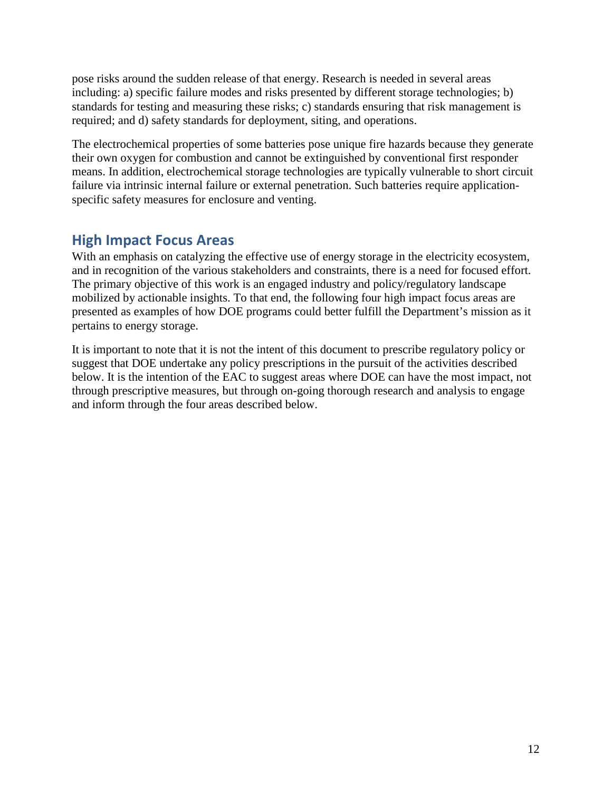pose risks around the sudden release of that energy. Research is needed in several areas including: a) specific failure modes and risks presented by different storage technologies; b) standards for testing and measuring these risks; c) standards ensuring that risk management is required; and d) safety standards for deployment, siting, and operations.

The electrochemical properties of some batteries pose unique fire hazards because they generate their own oxygen for combustion and cannot be extinguished by conventional first responder means. In addition, electrochemical storage technologies are typically vulnerable to short circuit failure via intrinsic internal failure or external penetration. Such batteries require applicationspecific safety measures for enclosure and venting.

## **High Impact Focus Areas**

With an emphasis on catalyzing the effective use of energy storage in the electricity ecosystem, and in recognition of the various stakeholders and constraints, there is a need for focused effort. The primary objective of this work is an engaged industry and policy/regulatory landscape mobilized by actionable insights. To that end, the following four high impact focus areas are presented as examples of how DOE programs could better fulfill the Department's mission as it pertains to energy storage.

It is important to note that it is not the intent of this document to prescribe regulatory policy or suggest that DOE undertake any policy prescriptions in the pursuit of the activities described below. It is the intention of the EAC to suggest areas where DOE can have the most impact, not through prescriptive measures, but through on-going thorough research and analysis to engage and inform through the four areas described below.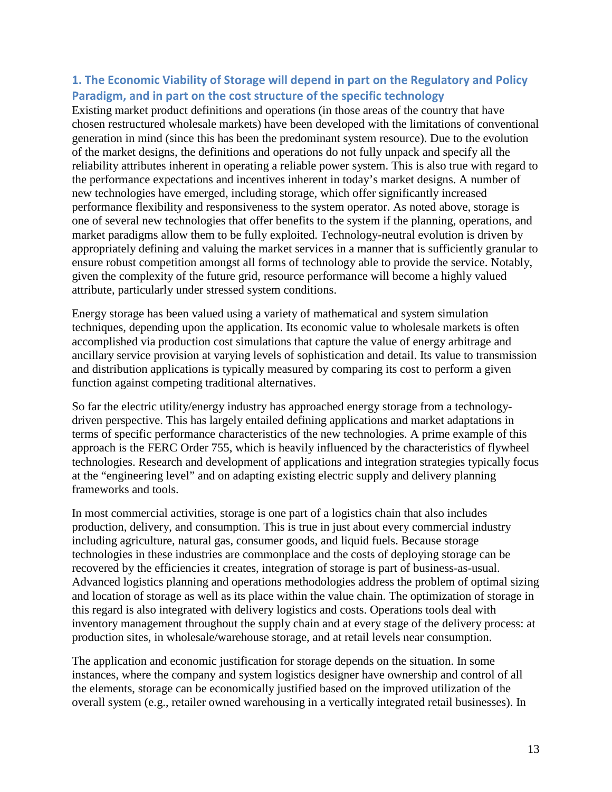#### **1. The Economic Viability of Storage will depend in part on the Regulatory and Policy Paradigm, and in part on the cost structure of the specific technology**

Existing market product definitions and operations (in those areas of the country that have chosen restructured wholesale markets) have been developed with the limitations of conventional generation in mind (since this has been the predominant system resource). Due to the evolution of the market designs, the definitions and operations do not fully unpack and specify all the reliability attributes inherent in operating a reliable power system. This is also true with regard to the performance expectations and incentives inherent in today's market designs. A number of new technologies have emerged, including storage, which offer significantly increased performance flexibility and responsiveness to the system operator. As noted above, storage is one of several new technologies that offer benefits to the system if the planning, operations, and market paradigms allow them to be fully exploited. Technology-neutral evolution is driven by appropriately defining and valuing the market services in a manner that is sufficiently granular to ensure robust competition amongst all forms of technology able to provide the service. Notably, given the complexity of the future grid, resource performance will become a highly valued attribute, particularly under stressed system conditions.

Energy storage has been valued using a variety of mathematical and system simulation techniques, depending upon the application. Its economic value to wholesale markets is often accomplished via production cost simulations that capture the value of energy arbitrage and ancillary service provision at varying levels of sophistication and detail. Its value to transmission and distribution applications is typically measured by comparing its cost to perform a given function against competing traditional alternatives.

So far the electric utility/energy industry has approached energy storage from a technologydriven perspective. This has largely entailed defining applications and market adaptations in terms of specific performance characteristics of the new technologies. A prime example of this approach is the FERC Order 755, which is heavily influenced by the characteristics of flywheel technologies. Research and development of applications and integration strategies typically focus at the "engineering level" and on adapting existing electric supply and delivery planning frameworks and tools.

In most commercial activities, storage is one part of a logistics chain that also includes production, delivery, and consumption. This is true in just about every commercial industry including agriculture, natural gas, consumer goods, and liquid fuels. Because storage technologies in these industries are commonplace and the costs of deploying storage can be recovered by the efficiencies it creates, integration of storage is part of business-as-usual. Advanced logistics planning and operations methodologies address the problem of optimal sizing and location of storage as well as its place within the value chain. The optimization of storage in this regard is also integrated with delivery logistics and costs. Operations tools deal with inventory management throughout the supply chain and at every stage of the delivery process: at production sites, in wholesale/warehouse storage, and at retail levels near consumption.

The application and economic justification for storage depends on the situation. In some instances, where the company and system logistics designer have ownership and control of all the elements, storage can be economically justified based on the improved utilization of the overall system (e.g., retailer owned warehousing in a vertically integrated retail businesses). In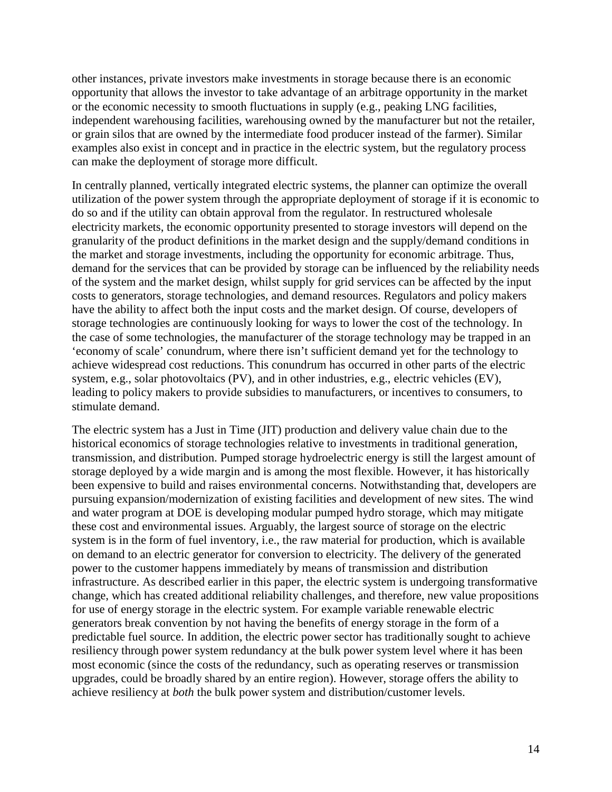other instances, private investors make investments in storage because there is an economic opportunity that allows the investor to take advantage of an arbitrage opportunity in the market or the economic necessity to smooth fluctuations in supply (e.g., peaking LNG facilities, independent warehousing facilities, warehousing owned by the manufacturer but not the retailer, or grain silos that are owned by the intermediate food producer instead of the farmer). Similar examples also exist in concept and in practice in the electric system, but the regulatory process can make the deployment of storage more difficult.

In centrally planned, vertically integrated electric systems, the planner can optimize the overall utilization of the power system through the appropriate deployment of storage if it is economic to do so and if the utility can obtain approval from the regulator. In restructured wholesale electricity markets, the economic opportunity presented to storage investors will depend on the granularity of the product definitions in the market design and the supply/demand conditions in the market and storage investments, including the opportunity for economic arbitrage. Thus, demand for the services that can be provided by storage can be influenced by the reliability needs of the system and the market design, whilst supply for grid services can be affected by the input costs to generators, storage technologies, and demand resources. Regulators and policy makers have the ability to affect both the input costs and the market design. Of course, developers of storage technologies are continuously looking for ways to lower the cost of the technology. In the case of some technologies, the manufacturer of the storage technology may be trapped in an 'economy of scale' conundrum, where there isn't sufficient demand yet for the technology to achieve widespread cost reductions. This conundrum has occurred in other parts of the electric system, e.g., solar photovoltaics (PV), and in other industries, e.g., electric vehicles (EV), leading to policy makers to provide subsidies to manufacturers, or incentives to consumers, to stimulate demand.

The electric system has a Just in Time (JIT) production and delivery value chain due to the historical economics of storage technologies relative to investments in traditional generation, transmission, and distribution. Pumped storage hydroelectric energy is still the largest amount of storage deployed by a wide margin and is among the most flexible. However, it has historically been expensive to build and raises environmental concerns. Notwithstanding that, developers are pursuing expansion/modernization of existing facilities and development of new sites. The wind and water program at DOE is developing modular pumped hydro storage, which may mitigate these cost and environmental issues. Arguably, the largest source of storage on the electric system is in the form of fuel inventory, i.e., the raw material for production, which is available on demand to an electric generator for conversion to electricity. The delivery of the generated power to the customer happens immediately by means of transmission and distribution infrastructure. As described earlier in this paper, the electric system is undergoing transformative change, which has created additional reliability challenges, and therefore, new value propositions for use of energy storage in the electric system. For example variable renewable electric generators break convention by not having the benefits of energy storage in the form of a predictable fuel source. In addition, the electric power sector has traditionally sought to achieve resiliency through power system redundancy at the bulk power system level where it has been most economic (since the costs of the redundancy, such as operating reserves or transmission upgrades, could be broadly shared by an entire region). However, storage offers the ability to achieve resiliency at *both* the bulk power system and distribution/customer levels.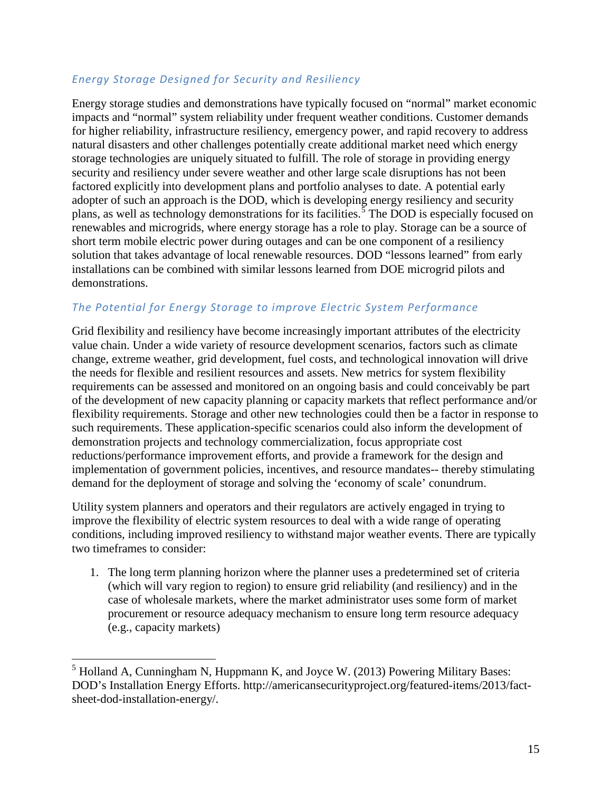#### *Energy Storage Designed for Security and Resiliency*

Energy storage studies and demonstrations have typically focused on "normal" market economic impacts and "normal" system reliability under frequent weather conditions. Customer demands for higher reliability, infrastructure resiliency, emergency power, and rapid recovery to address natural disasters and other challenges potentially create additional market need which energy storage technologies are uniquely situated to fulfill. The role of storage in providing energy security and resiliency under severe weather and other large scale disruptions has not been factored explicitly into development plans and portfolio analyses to date. A potential early adopter of such an approach is the DOD, which is developing energy resiliency and security plans, as well as technology demonstrations for its facilities.<sup>[5](#page-14-0)</sup> The DOD is especially focused on renewables and microgrids, where energy storage has a role to play. Storage can be a source of short term mobile electric power during outages and can be one component of a resiliency solution that takes advantage of local renewable resources. DOD "lessons learned" from early installations can be combined with similar lessons learned from DOE microgrid pilots and demonstrations.

#### *The Potential for Energy Storage to improve Electric System Performance*

Grid flexibility and resiliency have become increasingly important attributes of the electricity value chain. Under a wide variety of resource development scenarios, factors such as climate change, extreme weather, grid development, fuel costs, and technological innovation will drive the needs for flexible and resilient resources and assets. New metrics for system flexibility requirements can be assessed and monitored on an ongoing basis and could conceivably be part of the development of new capacity planning or capacity markets that reflect performance and/or flexibility requirements. Storage and other new technologies could then be a factor in response to such requirements. These application-specific scenarios could also inform the development of demonstration projects and technology commercialization, focus appropriate cost reductions/performance improvement efforts, and provide a framework for the design and implementation of government policies, incentives, and resource mandates-- thereby stimulating demand for the deployment of storage and solving the 'economy of scale' conundrum.

Utility system planners and operators and their regulators are actively engaged in trying to improve the flexibility of electric system resources to deal with a wide range of operating conditions, including improved resiliency to withstand major weather events. There are typically two timeframes to consider:

1. The long term planning horizon where the planner uses a predetermined set of criteria (which will vary region to region) to ensure grid reliability (and resiliency) and in the case of wholesale markets, where the market administrator uses some form of market procurement or resource adequacy mechanism to ensure long term resource adequacy (e.g., capacity markets)

<span id="page-14-0"></span> $<sup>5</sup>$  Holland A, Cunningham N, Huppmann K, and Joyce W. (2013) Powering Military Bases:</sup> DOD's Installation Energy Efforts. http://americansecurityproject.org/featured-items/2013/factsheet-dod-installation-energy/.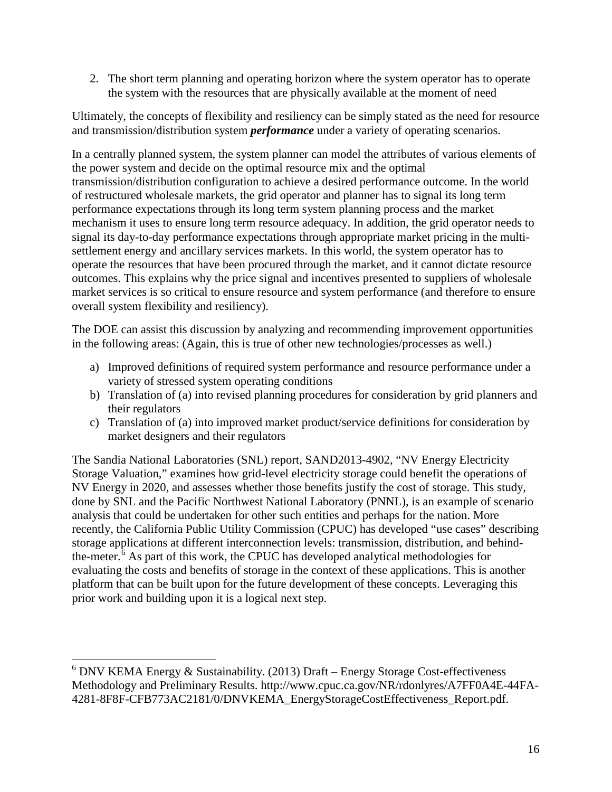2. The short term planning and operating horizon where the system operator has to operate the system with the resources that are physically available at the moment of need

Ultimately, the concepts of flexibility and resiliency can be simply stated as the need for resource and transmission/distribution system *performance* under a variety of operating scenarios.

In a centrally planned system, the system planner can model the attributes of various elements of the power system and decide on the optimal resource mix and the optimal transmission/distribution configuration to achieve a desired performance outcome. In the world of restructured wholesale markets, the grid operator and planner has to signal its long term performance expectations through its long term system planning process and the market mechanism it uses to ensure long term resource adequacy. In addition, the grid operator needs to signal its day-to-day performance expectations through appropriate market pricing in the multisettlement energy and ancillary services markets. In this world, the system operator has to operate the resources that have been procured through the market, and it cannot dictate resource outcomes. This explains why the price signal and incentives presented to suppliers of wholesale market services is so critical to ensure resource and system performance (and therefore to ensure overall system flexibility and resiliency).

The DOE can assist this discussion by analyzing and recommending improvement opportunities in the following areas: (Again, this is true of other new technologies/processes as well.)

- a) Improved definitions of required system performance and resource performance under a variety of stressed system operating conditions
- b) Translation of (a) into revised planning procedures for consideration by grid planners and their regulators
- c) Translation of (a) into improved market product/service definitions for consideration by market designers and their regulators

The Sandia National Laboratories (SNL) report, SAND2013-4902, "NV Energy Electricity Storage Valuation," examines how grid-level electricity storage could benefit the operations of NV Energy in 2020, and assesses whether those benefits justify the cost of storage. This study, done by SNL and the Pacific Northwest National Laboratory (PNNL), is an example of scenario analysis that could be undertaken for other such entities and perhaps for the nation. More recently, the California Public Utility Commission (CPUC) has developed "use cases" describing storage applications at different interconnection levels: transmission, distribution, and behindthe-meter. $6$  As part of this work, the CPUC has developed analytical methodologies for evaluating the costs and benefits of storage in the context of these applications. This is another platform that can be built upon for the future development of these concepts. Leveraging this prior work and building upon it is a logical next step.

<span id="page-15-0"></span> $6$  DNV KEMA Energy & Sustainability. (2013) Draft – Energy Storage Cost-effectiveness Methodology and Preliminary Results. http://www.cpuc.ca.gov/NR/rdonlyres/A7FF0A4E-44FA-4281-8F8F-CFB773AC2181/0/DNVKEMA\_EnergyStorageCostEffectiveness\_Report.pdf.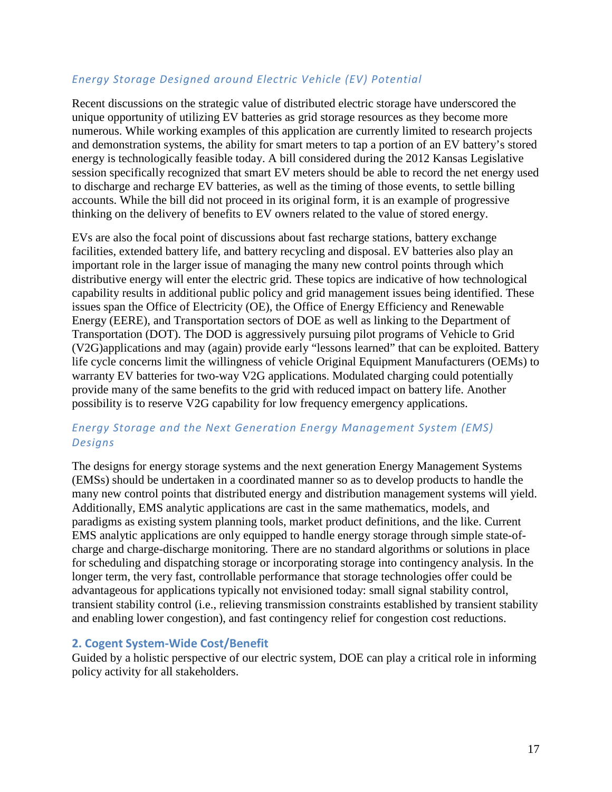#### *Energy Storage Designed around Electric Vehicle (EV) Potential*

Recent discussions on the strategic value of distributed electric storage have underscored the unique opportunity of utilizing EV batteries as grid storage resources as they become more numerous. While working examples of this application are currently limited to research projects and demonstration systems, the ability for smart meters to tap a portion of an EV battery's stored energy is technologically feasible today. A bill considered during the 2012 Kansas Legislative session specifically recognized that smart EV meters should be able to record the net energy used to discharge and recharge EV batteries, as well as the timing of those events, to settle billing accounts. While the bill did not proceed in its original form, it is an example of progressive thinking on the delivery of benefits to EV owners related to the value of stored energy.

EVs are also the focal point of discussions about fast recharge stations, battery exchange facilities, extended battery life, and battery recycling and disposal. EV batteries also play an important role in the larger issue of managing the many new control points through which distributive energy will enter the electric grid. These topics are indicative of how technological capability results in additional public policy and grid management issues being identified. These issues span the Office of Electricity (OE), the Office of Energy Efficiency and Renewable Energy (EERE), and Transportation sectors of DOE as well as linking to the Department of Transportation (DOT). The DOD is aggressively pursuing pilot programs of Vehicle to Grid (V2G)applications and may (again) provide early "lessons learned" that can be exploited. Battery life cycle concerns limit the willingness of vehicle Original Equipment Manufacturers (OEMs) to warranty EV batteries for two-way V2G applications. Modulated charging could potentially provide many of the same benefits to the grid with reduced impact on battery life. Another possibility is to reserve V2G capability for low frequency emergency applications.

#### *Energy Storage and the Next Generation Energy Management System (EMS) Designs*

The designs for energy storage systems and the next generation Energy Management Systems (EMSs) should be undertaken in a coordinated manner so as to develop products to handle the many new control points that distributed energy and distribution management systems will yield. Additionally, EMS analytic applications are cast in the same mathematics, models, and paradigms as existing system planning tools, market product definitions, and the like. Current EMS analytic applications are only equipped to handle energy storage through simple state-ofcharge and charge-discharge monitoring. There are no standard algorithms or solutions in place for scheduling and dispatching storage or incorporating storage into contingency analysis. In the longer term, the very fast, controllable performance that storage technologies offer could be advantageous for applications typically not envisioned today: small signal stability control, transient stability control (i.e., relieving transmission constraints established by transient stability and enabling lower congestion), and fast contingency relief for congestion cost reductions.

#### **2. Cogent System-Wide Cost/Benefit**

Guided by a holistic perspective of our electric system, DOE can play a critical role in informing policy activity for all stakeholders.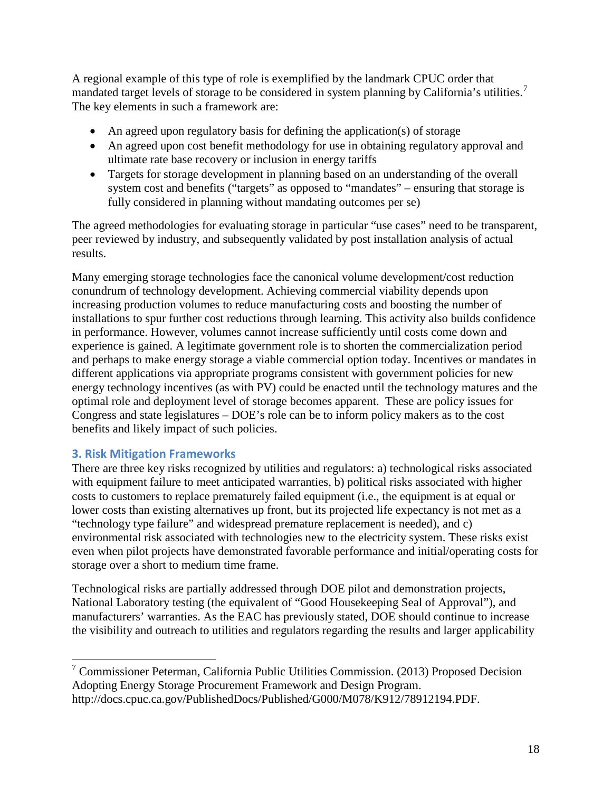A regional example of this type of role is exemplified by the landmark CPUC order that mandated target levels of storage to be considered in system planning by California's utilities.<sup>[7](#page-17-0)</sup> The key elements in such a framework are:

- An agreed upon regulatory basis for defining the application(s) of storage
- An agreed upon cost benefit methodology for use in obtaining regulatory approval and ultimate rate base recovery or inclusion in energy tariffs
- Targets for storage development in planning based on an understanding of the overall system cost and benefits ("targets" as opposed to "mandates" – ensuring that storage is fully considered in planning without mandating outcomes per se)

The agreed methodologies for evaluating storage in particular "use cases" need to be transparent, peer reviewed by industry, and subsequently validated by post installation analysis of actual results.

Many emerging storage technologies face the canonical volume development/cost reduction conundrum of technology development. Achieving commercial viability depends upon increasing production volumes to reduce manufacturing costs and boosting the number of installations to spur further cost reductions through learning. This activity also builds confidence in performance. However, volumes cannot increase sufficiently until costs come down and experience is gained. A legitimate government role is to shorten the commercialization period and perhaps to make energy storage a viable commercial option today. Incentives or mandates in different applications via appropriate programs consistent with government policies for new energy technology incentives (as with PV) could be enacted until the technology matures and the optimal role and deployment level of storage becomes apparent. These are policy issues for Congress and state legislatures – DOE's role can be to inform policy makers as to the cost benefits and likely impact of such policies.

#### **3. Risk Mitigation Frameworks**

There are three key risks recognized by utilities and regulators: a) technological risks associated with equipment failure to meet anticipated warranties, b) political risks associated with higher costs to customers to replace prematurely failed equipment (i.e., the equipment is at equal or lower costs than existing alternatives up front, but its projected life expectancy is not met as a "technology type failure" and widespread premature replacement is needed), and c) environmental risk associated with technologies new to the electricity system. These risks exist even when pilot projects have demonstrated favorable performance and initial/operating costs for storage over a short to medium time frame.

Technological risks are partially addressed through DOE pilot and demonstration projects, National Laboratory testing (the equivalent of "Good Housekeeping Seal of Approval"), and manufacturers' warranties. As the EAC has previously stated, DOE should continue to increase the visibility and outreach to utilities and regulators regarding the results and larger applicability

<span id="page-17-0"></span> <sup>7</sup> Commissioner Peterman, California Public Utilities Commission. (2013) Proposed Decision Adopting Energy Storage Procurement Framework and Design Program. http://docs.cpuc.ca.gov/PublishedDocs/Published/G000/M078/K912/78912194.PDF.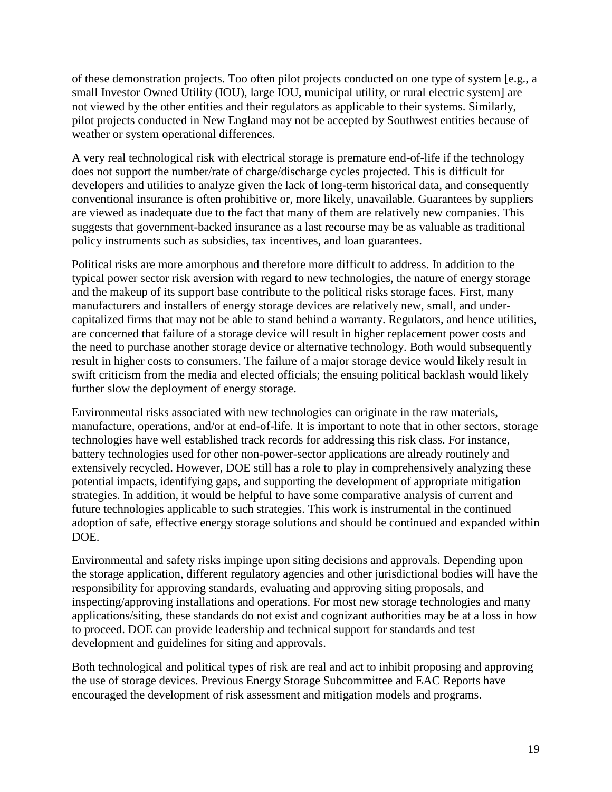of these demonstration projects. Too often pilot projects conducted on one type of system [e.g., a small Investor Owned Utility (IOU), large IOU, municipal utility, or rural electric system] are not viewed by the other entities and their regulators as applicable to their systems. Similarly, pilot projects conducted in New England may not be accepted by Southwest entities because of weather or system operational differences.

A very real technological risk with electrical storage is premature end-of-life if the technology does not support the number/rate of charge/discharge cycles projected. This is difficult for developers and utilities to analyze given the lack of long-term historical data, and consequently conventional insurance is often prohibitive or, more likely, unavailable. Guarantees by suppliers are viewed as inadequate due to the fact that many of them are relatively new companies. This suggests that government-backed insurance as a last recourse may be as valuable as traditional policy instruments such as subsidies, tax incentives, and loan guarantees.

Political risks are more amorphous and therefore more difficult to address. In addition to the typical power sector risk aversion with regard to new technologies, the nature of energy storage and the makeup of its support base contribute to the political risks storage faces. First, many manufacturers and installers of energy storage devices are relatively new, small, and undercapitalized firms that may not be able to stand behind a warranty. Regulators, and hence utilities, are concerned that failure of a storage device will result in higher replacement power costs and the need to purchase another storage device or alternative technology. Both would subsequently result in higher costs to consumers. The failure of a major storage device would likely result in swift criticism from the media and elected officials; the ensuing political backlash would likely further slow the deployment of energy storage.

Environmental risks associated with new technologies can originate in the raw materials, manufacture, operations, and/or at end-of-life. It is important to note that in other sectors, storage technologies have well established track records for addressing this risk class. For instance, battery technologies used for other non-power-sector applications are already routinely and extensively recycled. However, DOE still has a role to play in comprehensively analyzing these potential impacts, identifying gaps, and supporting the development of appropriate mitigation strategies. In addition, it would be helpful to have some comparative analysis of current and future technologies applicable to such strategies. This work is instrumental in the continued adoption of safe, effective energy storage solutions and should be continued and expanded within DOE.

Environmental and safety risks impinge upon siting decisions and approvals. Depending upon the storage application, different regulatory agencies and other jurisdictional bodies will have the responsibility for approving standards, evaluating and approving siting proposals, and inspecting/approving installations and operations. For most new storage technologies and many applications/siting, these standards do not exist and cognizant authorities may be at a loss in how to proceed. DOE can provide leadership and technical support for standards and test development and guidelines for siting and approvals.

Both technological and political types of risk are real and act to inhibit proposing and approving the use of storage devices. Previous Energy Storage Subcommittee and EAC Reports have encouraged the development of risk assessment and mitigation models and programs.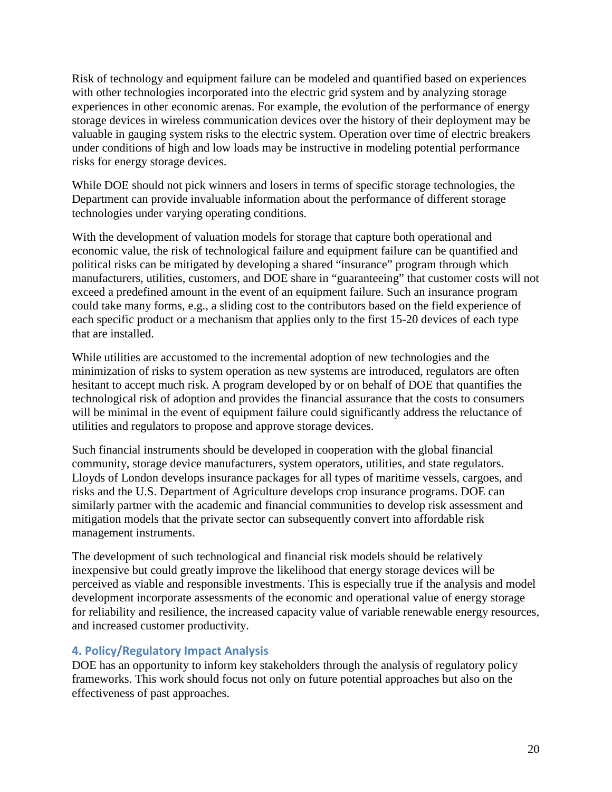Risk of technology and equipment failure can be modeled and quantified based on experiences with other technologies incorporated into the electric grid system and by analyzing storage experiences in other economic arenas. For example, the evolution of the performance of energy storage devices in wireless communication devices over the history of their deployment may be valuable in gauging system risks to the electric system. Operation over time of electric breakers under conditions of high and low loads may be instructive in modeling potential performance risks for energy storage devices.

While DOE should not pick winners and losers in terms of specific storage technologies, the Department can provide invaluable information about the performance of different storage technologies under varying operating conditions.

With the development of valuation models for storage that capture both operational and economic value, the risk of technological failure and equipment failure can be quantified and political risks can be mitigated by developing a shared "insurance" program through which manufacturers, utilities, customers, and DOE share in "guaranteeing" that customer costs will not exceed a predefined amount in the event of an equipment failure. Such an insurance program could take many forms, e.g., a sliding cost to the contributors based on the field experience of each specific product or a mechanism that applies only to the first 15-20 devices of each type that are installed.

While utilities are accustomed to the incremental adoption of new technologies and the minimization of risks to system operation as new systems are introduced, regulators are often hesitant to accept much risk. A program developed by or on behalf of DOE that quantifies the technological risk of adoption and provides the financial assurance that the costs to consumers will be minimal in the event of equipment failure could significantly address the reluctance of utilities and regulators to propose and approve storage devices.

Such financial instruments should be developed in cooperation with the global financial community, storage device manufacturers, system operators, utilities, and state regulators. Lloyds of London develops insurance packages for all types of maritime vessels, cargoes, and risks and the U.S. Department of Agriculture develops crop insurance programs. DOE can similarly partner with the academic and financial communities to develop risk assessment and mitigation models that the private sector can subsequently convert into affordable risk management instruments.

The development of such technological and financial risk models should be relatively inexpensive but could greatly improve the likelihood that energy storage devices will be perceived as viable and responsible investments. This is especially true if the analysis and model development incorporate assessments of the economic and operational value of energy storage for reliability and resilience, the increased capacity value of variable renewable energy resources, and increased customer productivity.

#### **4. Policy/Regulatory Impact Analysis**

DOE has an opportunity to inform key stakeholders through the analysis of regulatory policy frameworks. This work should focus not only on future potential approaches but also on the effectiveness of past approaches.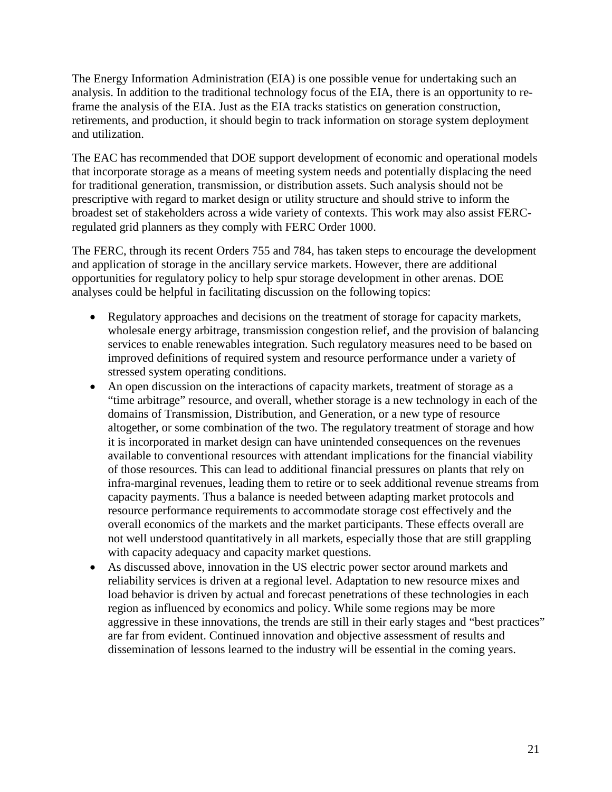The Energy Information Administration (EIA) is one possible venue for undertaking such an analysis. In addition to the traditional technology focus of the EIA, there is an opportunity to reframe the analysis of the EIA. Just as the EIA tracks statistics on generation construction, retirements, and production, it should begin to track information on storage system deployment and utilization.

The EAC has recommended that DOE support development of economic and operational models that incorporate storage as a means of meeting system needs and potentially displacing the need for traditional generation, transmission, or distribution assets. Such analysis should not be prescriptive with regard to market design or utility structure and should strive to inform the broadest set of stakeholders across a wide variety of contexts. This work may also assist FERCregulated grid planners as they comply with FERC Order 1000.

The FERC, through its recent Orders 755 and 784, has taken steps to encourage the development and application of storage in the ancillary service markets. However, there are additional opportunities for regulatory policy to help spur storage development in other arenas. DOE analyses could be helpful in facilitating discussion on the following topics:

- Regulatory approaches and decisions on the treatment of storage for capacity markets, wholesale energy arbitrage, transmission congestion relief, and the provision of balancing services to enable renewables integration. Such regulatory measures need to be based on improved definitions of required system and resource performance under a variety of stressed system operating conditions.
- An open discussion on the interactions of capacity markets, treatment of storage as a "time arbitrage" resource, and overall, whether storage is a new technology in each of the domains of Transmission, Distribution, and Generation, or a new type of resource altogether, or some combination of the two. The regulatory treatment of storage and how it is incorporated in market design can have unintended consequences on the revenues available to conventional resources with attendant implications for the financial viability of those resources. This can lead to additional financial pressures on plants that rely on infra-marginal revenues, leading them to retire or to seek additional revenue streams from capacity payments. Thus a balance is needed between adapting market protocols and resource performance requirements to accommodate storage cost effectively and the overall economics of the markets and the market participants. These effects overall are not well understood quantitatively in all markets, especially those that are still grappling with capacity adequacy and capacity market questions.
- As discussed above, innovation in the US electric power sector around markets and reliability services is driven at a regional level. Adaptation to new resource mixes and load behavior is driven by actual and forecast penetrations of these technologies in each region as influenced by economics and policy. While some regions may be more aggressive in these innovations, the trends are still in their early stages and "best practices" are far from evident. Continued innovation and objective assessment of results and dissemination of lessons learned to the industry will be essential in the coming years.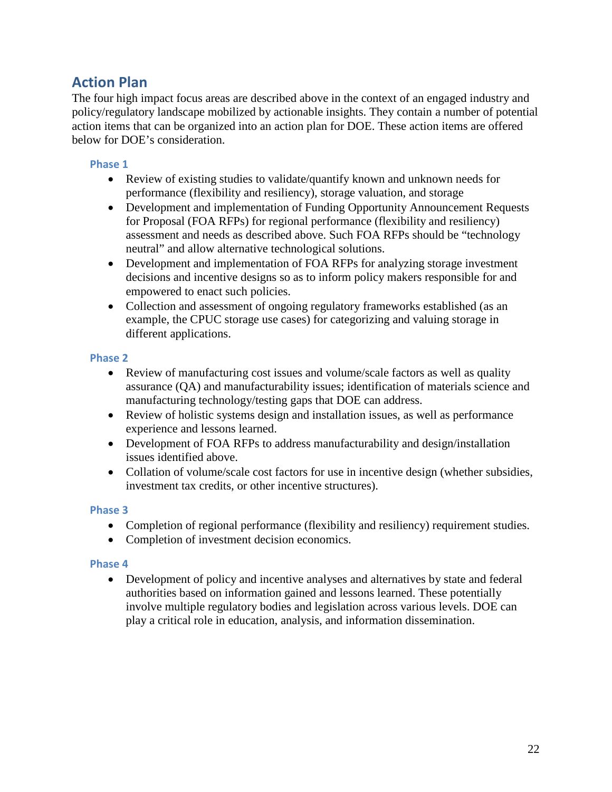## **Action Plan**

The four high impact focus areas are described above in the context of an engaged industry and policy/regulatory landscape mobilized by actionable insights. They contain a number of potential action items that can be organized into an action plan for DOE. These action items are offered below for DOE's consideration.

#### **Phase 1**

- Review of existing studies to validate/quantify known and unknown needs for performance (flexibility and resiliency), storage valuation, and storage
- Development and implementation of Funding Opportunity Announcement Requests for Proposal (FOA RFPs) for regional performance (flexibility and resiliency) assessment and needs as described above. Such FOA RFPs should be "technology neutral" and allow alternative technological solutions.
- Development and implementation of FOA RFPs for analyzing storage investment decisions and incentive designs so as to inform policy makers responsible for and empowered to enact such policies.
- Collection and assessment of ongoing regulatory frameworks established (as an example, the CPUC storage use cases) for categorizing and valuing storage in different applications.

#### **Phase 2**

- Review of manufacturing cost issues and volume/scale factors as well as quality assurance (QA) and manufacturability issues; identification of materials science and manufacturing technology/testing gaps that DOE can address.
- Review of holistic systems design and installation issues, as well as performance experience and lessons learned.
- Development of FOA RFPs to address manufacturability and design/installation issues identified above.
- Collation of volume/scale cost factors for use in incentive design (whether subsidies, investment tax credits, or other incentive structures).

#### **Phase 3**

- Completion of regional performance (flexibility and resiliency) requirement studies.
- Completion of investment decision economics.

#### **Phase 4**

• Development of policy and incentive analyses and alternatives by state and federal authorities based on information gained and lessons learned. These potentially involve multiple regulatory bodies and legislation across various levels. DOE can play a critical role in education, analysis, and information dissemination.